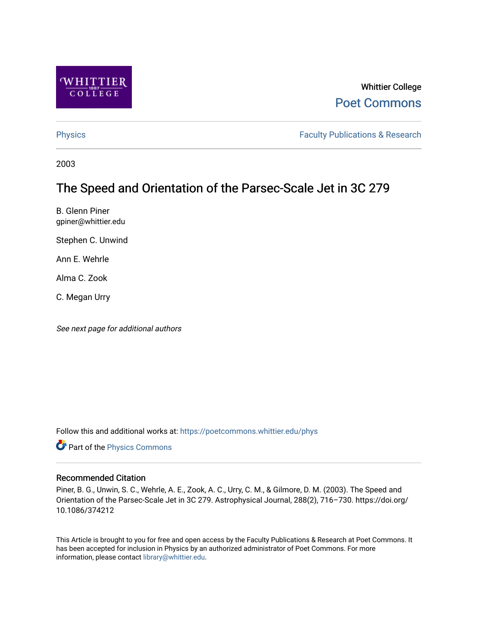

# Whittier College [Poet Commons](https://poetcommons.whittier.edu/)

[Physics](https://poetcommons.whittier.edu/phys) **Faculty Publications & Research Physics Faculty Publications & Research** 

2003

# The Speed and Orientation of the Parsec-Scale Jet in 3C 279

B. Glenn Piner gpiner@whittier.edu

Stephen C. Unwind

Ann E. Wehrle

Alma C. Zook

C. Megan Urry

See next page for additional authors

Follow this and additional works at: [https://poetcommons.whittier.edu/phys](https://poetcommons.whittier.edu/phys?utm_source=poetcommons.whittier.edu%2Fphys%2F12&utm_medium=PDF&utm_campaign=PDFCoverPages)

Part of the [Physics Commons](http://network.bepress.com/hgg/discipline/193?utm_source=poetcommons.whittier.edu%2Fphys%2F12&utm_medium=PDF&utm_campaign=PDFCoverPages)

### Recommended Citation

Piner, B. G., Unwin, S. C., Wehrle, A. E., Zook, A. C., Urry, C. M., & Gilmore, D. M. (2003). The Speed and Orientation of the Parsec-Scale Jet in 3C 279. Astrophysical Journal, 288(2), 716–730. https://doi.org/ 10.1086/374212

This Article is brought to you for free and open access by the Faculty Publications & Research at Poet Commons. It has been accepted for inclusion in Physics by an authorized administrator of Poet Commons. For more information, please contact [library@whittier.edu.](mailto:library@whittier.edu)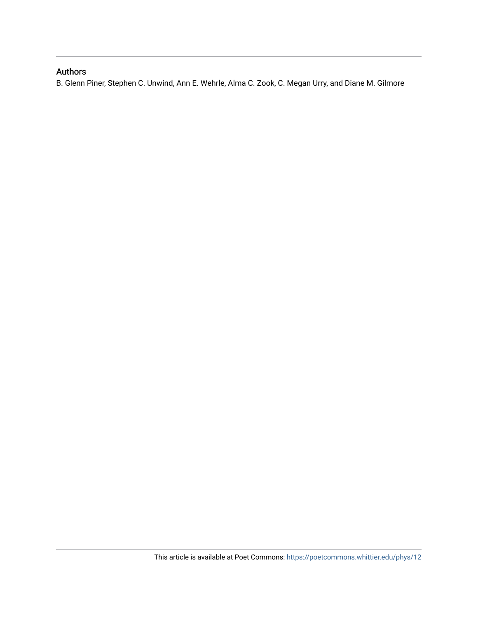## Authors

B. Glenn Piner, Stephen C. Unwind, Ann E. Wehrle, Alma C. Zook, C. Megan Urry, and Diane M. Gilmore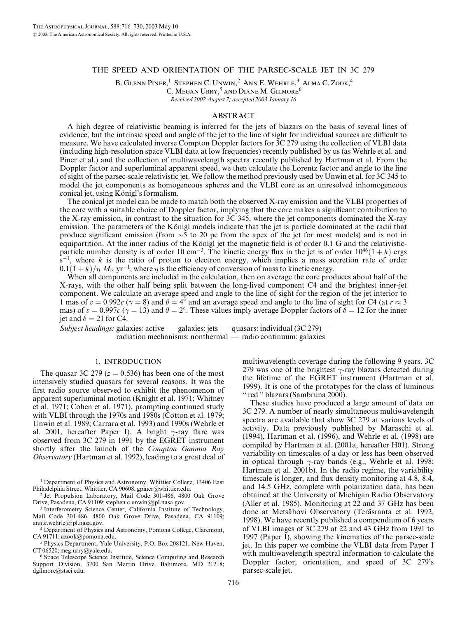#### THE SPEED AND ORIENTATION OF THE PARSEC-SCALE JET IN 3C 279

B. GLENN PINER,<sup>1</sup> STEPHEN C. UNWIN,<sup>2</sup> ANN E. WEHRLE,<sup>3</sup> ALMA C. ZOOK,<sup>4</sup> C. Megan Urry,<sup>5</sup> and Diane M. Gilmore<sup>6</sup>

Received 2002 August 7; accepted 2003 January 16

#### ABSTRACT

A high degree of relativistic beaming is inferred for the jets of blazars on the basis of several lines of evidence, but the intrinsic speed and angle of the jet to the line of sight for individual sources are difficult to measure. We have calculated inverse Compton Doppler factors for 3C 279 using the collection of VLBI data (including high-resolution space VLBI data at low frequencies) recently published by us (as Wehrle et al. and Piner et al.) and the collection of multiwavelength spectra recently published by Hartman et al. From the Doppler factor and superluminal apparent speed, we then calculate the Lorentz factor and angle to the line of sight of the parsec-scale relativistic jet. We follow the method previously used by Unwin et al. for 3C 345 to model the jet components as homogeneous spheres and the VLBI core as an unresolved inhomogeneous conical jet, using Königl's formalism.

The conical jet model can be made to match both the observed X-ray emission and the VLBI properties of the core with a suitable choice of Doppler factor, implying that the core makes a significant contribution to the X-ray emission, in contrast to the situation for 3C 345, where the jet components dominated the X-ray emission. The parameters of the Königl models indicate that the jet is particle dominated at the radii that produce significant emission (from  $\sim$  5 to 20 pc from the apex of the jet for most models) and is not in equipartition. At the inner radius of the Königl jet the magnetic field is of order 0.1 G and the relativisticparticle number density is of order 10 cm<sup>-3</sup>. The kinetic energy flux in the jet is of order  $10^{46}(1+k)$  ergs  $s^{-1}$ , where k is the ratio of proton to electron energy, which implies a mass accretion rate of order  $0.1(1+k)/\eta\ M_\odot$  yr<sup>-1</sup>, where  $\eta$  is the efficiency of conversion of mass to kinetic energy.

When all components are included in the calculation, then on average the core produces about half of the X-rays, with the other half being split between the long-lived component C4 and the brightest inner-jet component. We calculate an average speed and angle to the line of sight for the region of the jet interior to 1 mas of  $v = 0.992c$  ( $\gamma = 8$ ) and  $\theta = 4^{\circ}$  and an average speed and angle to the line of sight for C4 (at  $r \approx 3$ mas) of  $v = 0.997c$  ( $\gamma = 13$ ) and  $\theta = 2^{\circ}$ . These values imply average Doppler factors of  $\delta = 12$  for the inner jet and  $\delta = 21$  for C4.

Subject headings: galaxies: active — galaxies: jets — quasars: individual  $(3C 279)$  radiation mechanisms: nonthermal — radio continuum: galaxies

#### 1. INTRODUCTION

The quasar 3C 279 ( $z = 0.536$ ) has been one of the most intensively studied quasars for several reasons. It was the first radio source observed to exhibit the phenomenon of apparent superluminal motion (Knight et al. 1971; Whitney et al. 1971; Cohen et al. 1971), prompting continued study with VLBI through the 1970s and 1980s (Cotton et al. 1979; Unwin et al. 1989; Carrara et al. 1993) and 1990s (Wehrle et al. 2001, hereafter Paper I). A bright  $\gamma$ -ray flare was observed from 3C 279 in 1991 by the EGRET instrument shortly after the launch of the Compton Gamma Ray Observatory (Hartman et al. 1992), leading to a great deal of

<sup>1</sup> Department of Physics and Astronomy, Whittier College, 13406 East Philadelphia Street, Whittier, CA 90608; gpiner@whittier.edu.

<sup>2</sup> Jet Propulsion Laboratory, Mail Code 301-486, 4800 Oak Grove Drive, Pasadena, CA 91109; stephen.c.unwin@jpl.nasa.gov.

<sup>3</sup> Interferometry Science Center, California Institute of Technology, Mail Code 301-486, 4800 Oak Grove Drive, Pasadena, CA 91109; ann.e.wehrle@jpl.nasa.gov.

<sup>5</sup> Physics Department, Yale University, P.O. Box 208121, New Haven, CT 06520; meg.urry@yale.edu.

<sup>6</sup> Space Telescope Science Institute, Science Computing and Research Support Division, 3700 San Martin Drive, Baltimore, MD 21218; dgilmore@stsci.edu.

multiwavelength coverage during the following 9 years. 3C 279 was one of the brightest  $\gamma$ -ray blazars detected during the lifetime of the EGRET instrument (Hartman et al. 1999). It is one of the prototypes for the class of luminous '' red '' blazars (Sambruna 2000).

These studies have produced a large amount of data on 3C 279. A number of nearly simultaneous multiwavelength spectra are available that show 3C 279 at various levels of activity. Data previously published by Maraschi et al. (1994), Hartman et al. (1996), and Wehrle et al. (1998) are compiled by Hartman et al. (2001a, hereafter H01). Strong variability on timescales of a day or less has been observed in optical through  $\gamma$ -ray bands (e.g., Wehrle et al. 1998; Hartman et al. 2001b). In the radio regime, the variability timescale is longer, and flux density monitoring at 4.8, 8.4, and 14.5 GHz, complete with polarization data, has been obtained at the University of Michigan Radio Observatory (Aller et al. 1985). Monitoring at 22 and 37 GHz has been done at Metsähovi Observatory (Teräsranta et al. 1992, 1998). We have recently published a compendium of 6 years of VLBI images of 3C 279 at 22 and 43 GHz from 1991 to 1997 (Paper I), showing the kinematics of the parsec-scale jet. In this paper we combine the VLBI data from Paper I with multiwavelength spectral information to calculate the Doppler factor, orientation, and speed of 3C 279's parsec-scale jet.

<sup>4</sup> Department of Physics and Astronomy, Pomona College, Claremont, CA 91711; azook@pomona.edu.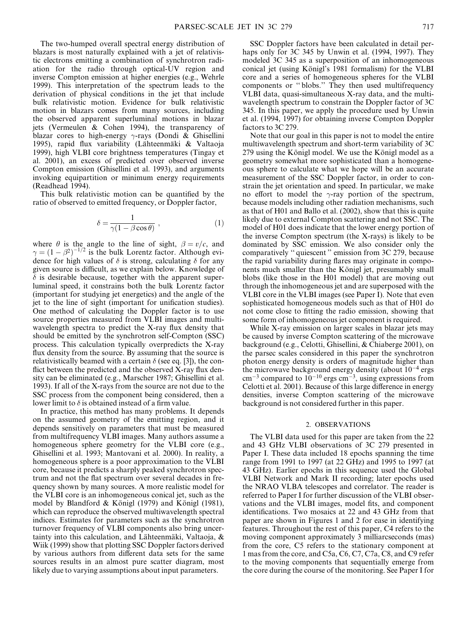The two-humped overall spectral energy distribution of blazars is most naturally explained with a jet of relativistic electrons emitting a combination of synchrotron radiation for the radio through optical-UV region and inverse Compton emission at higher energies (e.g., Wehrle 1999). This interpretation of the spectrum leads to the derivation of physical conditions in the jet that include bulk relativistic motion. Evidence for bulk relativistic motion in blazars comes from many sources, including the observed apparent superluminal motions in blazar jets (Vermeulen & Cohen 1994), the transparency of blazar cores to high-energy  $\gamma$ -rays (Dondi & Ghisellini 1995), rapid flux variability (Lähteenmäki & Valtaoja 1999), high VLBI core brightness temperatures (Tingay et al. 2001), an excess of predicted over observed inverse Compton emission (Ghisellini et al. 1993), and arguments invoking equipartition or minimum energy requirements (Readhead 1994).

This bulk relativistic motion can be quantified by the ratio of observed to emitted frequency, or Doppler factor,

$$
\delta = \frac{1}{\gamma (1 - \beta \cos \theta)} \,, \tag{1}
$$

where  $\theta$  is the angle to the line of sight,  $\beta = v/c$ , and  $\gamma = (1 - \beta^2)^{-1/2}$  is the bulk Lorentz factor. Although evidence for high values of  $\delta$  is strong, calculating  $\delta$  for any given source is difficult, as we explain below. Knowledge of  $\delta$  is desirable because, together with the apparent superluminal speed, it constrains both the bulk Lorentz factor (important for studying jet energetics) and the angle of the jet to the line of sight (important for unification studies). One method of calculating the Doppler factor is to use source properties measured from VLBI images and multiwavelength spectra to predict the X-ray flux density that should be emitted by the synchrotron self-Compton (SSC) process. This calculation typically overpredicts the X-ray flux density from the source. By assuming that the source is relativistically beamed with a certain  $\delta$  (see eq. [3]), the conflict between the predicted and the observed X-ray flux density can be eliminated (e.g., Marscher 1987; Ghisellini et al. 1993). If all of the X-rays from the source are not due to the SSC process from the component being considered, then a lower limit to  $\delta$  is obtained instead of a firm value.

In practice, this method has many problems. It depends on the assumed geometry of the emitting region, and it depends sensitively on parameters that must be measured from multifrequency VLBI images. Many authors assume a homogeneous sphere geometry for the VLBI core (e.g., Ghisellini et al. 1993; Mantovani et al. 2000). In reality, a homogeneous sphere is a poor approximation to the VLBI core, because it predicts a sharply peaked synchrotron spectrum and not the flat spectrum over several decades in frequency shown by many sources. A more realistic model for the VLBI core is an inhomogeneous conical jet, such as the model by Blandford & Königl (1979) and Königl (1981), which can reproduce the observed multiwavelength spectral indices. Estimates for parameters such as the synchrotron turnover frequency of VLBI components also bring uncertainty into this calculation, and Lähteenmäki, Valtaoja,  $\&$ Wiik (1999) show that plotting SSC Doppler factors derived by various authors from different data sets for the same sources results in an almost pure scatter diagram, most likely due to varying assumptions about input parameters.

SSC Doppler factors have been calculated in detail perhaps only for 3C 345 by Unwin et al. (1994, 1997). They modeled 3C 345 as a superposition of an inhomogeneous conical jet (using Königl's 1981 formalism) for the VLBI core and a series of homogeneous spheres for the VLBI components or '' blobs.'' They then used multifrequency VLBI data, quasi-simultaneous X-ray data, and the multiwavelength spectrum to constrain the Doppler factor of 3C 345. In this paper, we apply the procedure used by Unwin et al. (1994, 1997) for obtaining inverse Compton Doppler factors to 3C 279.

Note that our goal in this paper is not to model the entire multiwavelength spectrum and short-term variability of 3C  $279$  using the Königl model. We use the Königl model as a geometry somewhat more sophisticated than a homogeneous sphere to calculate what we hope will be an accurate measurement of the SSC Doppler factor, in order to constrain the jet orientation and speed. In particular, we make no effort to model the  $\gamma$ -ray portion of the spectrum, because models including other radiation mechanisms, such as that of H01 and Ballo et al. (2002), show that this is quite likely due to external Compton scattering and not SSC. The model of H01 does indicate that the lower energy portion of the inverse Compton spectrum (the X-rays) is likely to be dominated by SSC emission. We also consider only the comparatively '' quiescent '' emission from 3C 279, because the rapid variability during flares may originate in components much smaller than the Königl jet, presumably small blobs (like those in the H01 model) that are moving out through the inhomogeneous jet and are superposed with the VLBI core in the VLBI images (see Paper I). Note that even sophisticated homogeneous models such as that of H01 do not come close to fitting the radio emission, showing that some form of inhomogeneous jet component is required.

While X-ray emission on larger scales in blazar jets may be caused by inverse Compton scattering of the microwave background (e.g., Celotti, Ghisellini, & Chiaberge 2001), on the parsec scales considered in this paper the synchrotron photon energy density is orders of magnitude higher than the microwave background energy density (about  $10^{-4}$  ergs  $\text{cm}^{-3}$  compared to  $10^{-10}$  ergs  $\text{cm}^{-3}$ , using expressions from Celotti et al. 2001). Because of this large difference in energy densities, inverse Compton scattering of the microwave background is not considered further in this paper.

#### 2. OBSERVATIONS

The VLBI data used for this paper are taken from the 22 and 43 GHz VLBI observations of 3C 279 presented in Paper I. These data included 18 epochs spanning the time range from 1991 to 1997 (at 22 GHz) and 1995 to 1997 (at 43 GHz). Earlier epochs in this sequence used the Global VLBI Network and Mark II recording; later epochs used the NRAO VLBA telescopes and correlator. The reader is referred to Paper I for further discussion of the VLBI observations and the VLBI images, model fits, and component identifications. Two mosaics at 22 and 43 GHz from that paper are shown in Figures 1 and 2 for ease in identifying features. Throughout the rest of this paper, C4 refers to the moving component approximately 3 milliarcseconds (mas) from the core, C5 refers to the stationary component at 1 mas from the core, and C5a, C6, C7, C7a, C8, and C9 refer to the moving components that sequentially emerge from the core during the course of the monitoring. See Paper I for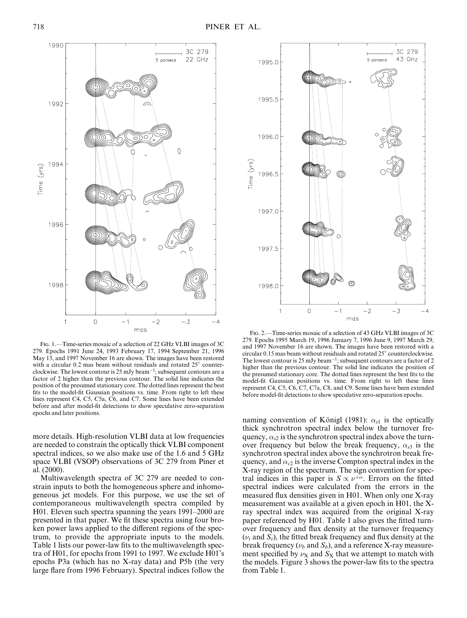

Fig. 1.—Time-series mosaic of a selection of 22 GHz VLBI images of 3C 279. Epochs 1991 June 24, 1993 February 17, 1994 September 21, 1996 May 13, and 1997 November 16 are shown. The images have been restored with a circular 0.2 mas beam without residuals and rotated  $25^{\circ}$  counterclockwise. The lowest contour is 25 mJy beam<sup> $-1$ </sup>; subsequent contours are a factor of 2 higher than the previous contour. The solid line indicates the position of the presumed stationary core. The dotted lines represent the best fits to the model-fit Gaussian positions vs. time. From right to left these lines represent C4, C5, C5a, C6, and C7. Some lines have been extended before and after model-fit detections to show speculative zero-separation epochs and later positions.

more details. High-resolution VLBI data at low frequencies are needed to constrain the optically thick VLBI component spectral indices, so we also make use of the 1.6 and 5 GHz space VLBI (VSOP) observations of 3C 279 from Piner et al. (2000).

Multiwavelength spectra of 3C 279 are needed to constrain inputs to both the homogeneous sphere and inhomogeneous jet models. For this purpose, we use the set of contemporaneous multiwavelength spectra compiled by H01. Eleven such spectra spanning the years 1991–2000 are presented in that paper. We fit these spectra using four broken power laws applied to the different regions of the spectrum, to provide the appropriate inputs to the models. Table 1 lists our power-law fits to the multiwavelength spectra of H01, for epochs from 1991 to 1997. We exclude H01's epochs P3a (which has no X-ray data) and P5b (the very large flare from 1996 February). Spectral indices follow the



Fig. 2.—Time-series mosaic of a selection of 43 GHz VLBI images of 3C 279. Epochs 1995 March 19, 1996 January 7, 1996 June 9, 1997 March 29, and 1997 November 16 are shown. The images have been restored with a circular 0.15 mas beam without residuals and rotated  $25^{\circ}$  counterclockwise. The lowest contour is 25 mJy beam<sup> $-1$ </sup>; subsequent contours are a factor of 2 higher than the previous contour. The solid line indicates the position of the presumed stationary core. The dotted lines represent the best fits to the model-fit Gaussian positions vs. time. From right to left these lines represent C4, C5, C6, C7, C7a, C8, and C9. Some lines have been extended before model-fit detections to show speculative zero-separation epochs.

naming convention of Königl (1981):  $\alpha_{s1}$  is the optically thick synchrotron spectral index below the turnover frequency,  $\alpha_{s2}$  is the synchrotron spectral index above the turnover frequency but below the break frequency,  $\alpha_{s3}$  is the synchrotron spectral index above the synchrotron break frequency, and  $\alpha_{c2}$  is the inverse Compton spectral index in the X-ray region of the spectrum. The sign convention for spectral indices in this paper is  $S \propto \nu^{+\alpha}$ . Errors on the fitted spectral indices were calculated from the errors in the measured flux densities given in H01. When only one X-ray measurement was available at a given epoch in H01, the Xray spectral index was acquired from the original X-ray paper referenced by H01. Table 1 also gives the fitted turnover frequency and flux density at the turnover frequency  $(\nu_t$  and  $S_t$ ), the fitted break frequency and flux density at the break frequency ( $\nu_b$  and  $S_b$ ), and a reference X-ray measurement specified by  $\nu$ <sub>X</sub> and S<sub>X</sub> that we attempt to match with the models. Figure 3 shows the power-law fits to the spectra from Table 1.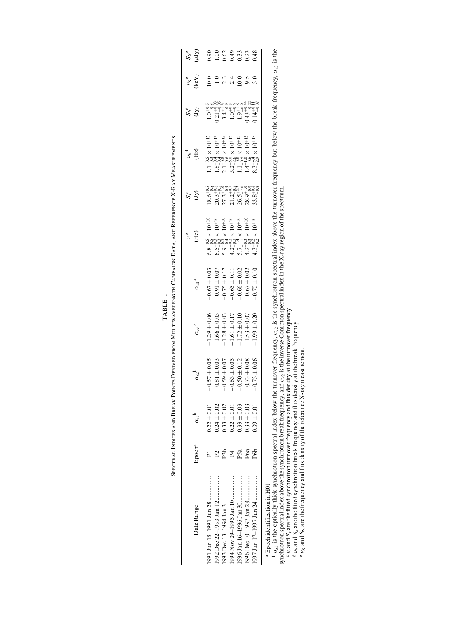| Date Range                                | Epoch <sup>a</sup> | $\alpha_{\rm sl}$ <sup>b</sup> | $\alpha_{s2}^{\phantom{1}}$ b | $\alpha_{s3}^{\;\;\mathrm{b}}$                                                    | $\alpha_{c2}^{\phantom{1}b}$                                                                                                                                                  | $\nu_i^c$<br>(Hz)                                                                                                                                                                                                                                                                                     | $S_i^c$                                                                                                                                                                                                                                                                                                       | $\nu_b^{\text{d}}$                                                                                                                                                                                                                                                                                                                                    | $S_b^d$                                                                                                                                                                                                                   | $\frac{v_{\mathbf{X}}^{\mathbf{e}}}{(\text{keV})}$ | $S_X^e$ <sup>e</sup> |
|-------------------------------------------|--------------------|--------------------------------|-------------------------------|-----------------------------------------------------------------------------------|-------------------------------------------------------------------------------------------------------------------------------------------------------------------------------|-------------------------------------------------------------------------------------------------------------------------------------------------------------------------------------------------------------------------------------------------------------------------------------------------------|---------------------------------------------------------------------------------------------------------------------------------------------------------------------------------------------------------------------------------------------------------------------------------------------------------------|-------------------------------------------------------------------------------------------------------------------------------------------------------------------------------------------------------------------------------------------------------------------------------------------------------------------------------------------------------|---------------------------------------------------------------------------------------------------------------------------------------------------------------------------------------------------------------------------|----------------------------------------------------|----------------------|
| 991 Jun 15–1991 Jun 28                    |                    | $0.22 \pm 0.01$                | $-0.57 \pm 0.05$              | $-1.29 \pm 0.06$                                                                  |                                                                                                                                                                               |                                                                                                                                                                                                                                                                                                       |                                                                                                                                                                                                                                                                                                               |                                                                                                                                                                                                                                                                                                                                                       |                                                                                                                                                                                                                           | 10.0                                               |                      |
|                                           |                    | $0.24 \pm 0.02$                | $-0.81 \pm 0.03$              | $-1.66 \pm 0.03$                                                                  |                                                                                                                                                                               |                                                                                                                                                                                                                                                                                                       |                                                                                                                                                                                                                                                                                                               |                                                                                                                                                                                                                                                                                                                                                       |                                                                                                                                                                                                                           |                                                    |                      |
|                                           | Ê                  | $0.33 \pm 0.02$                | $-0.59 \pm 0.07$              | $\begin{array}{r} -1.28 \pm 0.03 \\ -1.61 \pm 0.17 \\ -1.72 \pm 0.10 \end{array}$ | $\begin{array}{c} -0.67 \pm 0.03 \\ -0.91 \pm 0.07 \\ -0.75 \pm 0.17 \\ -0.65 \pm 0.11 \\ -0.65 \pm 0.11 \\ -0.66 \pm 0.02 \\ 0.02 \pm 0.02 \\ -0.67 \pm 0.02 \\ \end{array}$ |                                                                                                                                                                                                                                                                                                       |                                                                                                                                                                                                                                                                                                               |                                                                                                                                                                                                                                                                                                                                                       |                                                                                                                                                                                                                           | $-2.3400000$                                       |                      |
|                                           |                    | $0.22 \pm 0.01$                | $-0.63 \pm 0.05$              |                                                                                   |                                                                                                                                                                               |                                                                                                                                                                                                                                                                                                       |                                                                                                                                                                                                                                                                                                               |                                                                                                                                                                                                                                                                                                                                                       |                                                                                                                                                                                                                           |                                                    |                      |
|                                           | P5a                | $0.33 \pm 0.03$                | $-0.50 \pm 0.12$              |                                                                                   |                                                                                                                                                                               |                                                                                                                                                                                                                                                                                                       |                                                                                                                                                                                                                                                                                                               |                                                                                                                                                                                                                                                                                                                                                       |                                                                                                                                                                                                                           |                                                    |                      |
|                                           | P6a                | $0.33 \pm 0.03$                | $-0.73 \pm 0.08$              | $-1.53 \pm 0.07$                                                                  |                                                                                                                                                                               |                                                                                                                                                                                                                                                                                                       |                                                                                                                                                                                                                                                                                                               |                                                                                                                                                                                                                                                                                                                                                       |                                                                                                                                                                                                                           |                                                    |                      |
|                                           | P6b                | $0.39 \pm 0.01$                | $-0.73 \pm 0.06$              | $-1.99 \pm 0.20$                                                                  |                                                                                                                                                                               | $\begin{array}{l} 6.84 \\ 6.84 \\ 7.44 \\ 8.45 \\ 9.46 \\ 10.47 \\ 11.48 \\ 12.49 \\ 13.49 \\ 14.41 \\ 15.41 \\ 16.41 \\ 17.41 \\ 18.41 \\ 19.41 \\ 10.41 \\ 10.41 \\ 10.41 \\ 10.41 \\ 10.41 \\ 10.41 \\ 10.41 \\ 10.41 \\ 10.41 \\ 10.41 \\ 10.41 \\ 10.41 \\ 10.41 \\ 10.41 \\ 10.41 \\ 10.41 \\ $ | $\begin{array}{l} 18.7 \\ 18.7 \\ 20.7 \\ 31.7 \\ 41.7 \\ 52.8 \\ 63.9 \\ 74.7 \\ 74.7 \\ 74.7 \\ 74.7 \\ 74.7 \\ 74.7 \\ 74.7 \\ 74.7 \\ 74.7 \\ 74.7 \\ 74.7 \\ 74.7 \\ 74.7 \\ 74.7 \\ 74.7 \\ 75.8 \\ 75.8 \\ 75.8 \\ 75.3 \\ 75.3 \\ 75.3 \\ 75.3 \\ 75.3 \\ 75.3 \\ 75.3 \\ 75.3 \\ 75.3 \\ 75.3 \\ 75$ | $\begin{array}{l} 1.1 \, {}^{+ 12}_{- 19} \times 10^{+ 13}_{- 19} \\ 1.8 \times 10^{-13}_{- 19} \\ 1.8 \times 10^{-11}_{- 19} \\ 2.1 \, {}^{+ 12}_{- 19} \times 10^{-12}_{- 19} \\ 5.2 \, {}^{+ 10}_{- 19} \times 10^{-11}_{- 19} \\ 1.1 \, {}^{+ 10}_{- 19} \times 10^{-13}_{- 19} \\ 1.1 \, {}^{+ 10}_{- 19} \times 10^{-13}_{- 19} \\ 8.3 \, {}^{$ | $\begin{array}{r} 1.0^{+0.5}_{-0.08} \\ 0.21^{+0.08}_{-0.08} \\ 3.4^{+0.08}_{-0.08} \\ 1.0^{+0.08}_{-0.08} \\ 1.0^{+0.08}_{-0.04} \\ 0.43^{+0.08}_{-0.04} \\ 0.04^{+0.01}_{-0.01} \\ 0.04^{+0.01}_{-0.01} \\ \end{array}$ |                                                    |                      |
| <sup>a</sup> Epoch identification in H01. |                    |                                |                               |                                                                                   |                                                                                                                                                                               |                                                                                                                                                                                                                                                                                                       |                                                                                                                                                                                                                                                                                                               |                                                                                                                                                                                                                                                                                                                                                       |                                                                                                                                                                                                                           |                                                    |                      |

SPECTRAL INDICES AND BREAK POINTS DERIVED FROM MULTIWAVELENGTH CAMPAIGN DATA, AND REFERENCE X-RAY MEASUREMENTS Spectral Indices and Break Points Derived from Multiwavelength Campaign Data, and Reference X-Ray Measurements TABLE 1

TABLE 1

Epoch identification in H01.

bcde $P\alpha_{el}$  is the optically thick synchrotron spectral index below the turnover frequency,  $\alpha_{2}$  is the synchrotron spectral index above the turnover frequency but below the break frequency,  $\alpha_{3}$  is the synchrotron spectral index above the synchrotron break frequency, and  $\alpha_{c2}$  is the inverse Compton spectral index in the X-ray region of the spectrum.

 $\circ$   $\nu$ , and S<sub>t</sub> are the fitted synchrotron turnover frequency and flux density at the turnover frequency.

 $^{\rm d}$   $\nu_b$  and  $S_b$  are the fitted synchrotron break frequency and flux density at the break frequency.

 $\mathfrak{e}_{V_{\rm X}}$  and  $S_{\rm X}$  are the frequency and flux density of the reference X-ray measurement.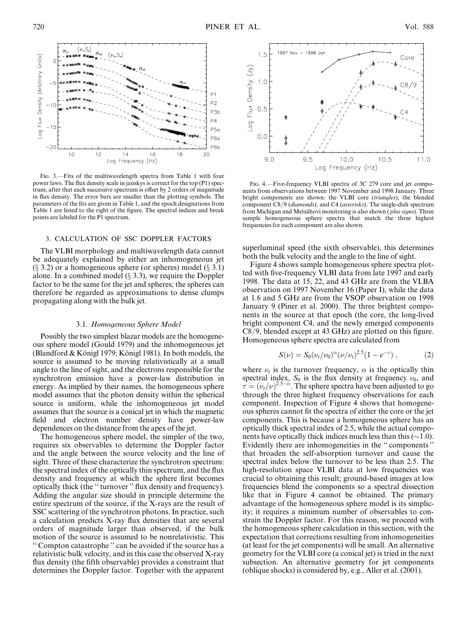

Fig. 3.—Fits of the multiwavelength spectra from Table 1 with four power laws. The flux density scale in janskys is correct for the top (P1) spectrum; after that each successive spectrum is offset by 2 orders of magnitude in flux density. The error bars are smaller than the plotting symbols. The parameters of the fits are given in Table 1, and the epoch designations from Table 1 are listed to the right of the figure. The spectral indices and break points are labeled for the P1 spectrum.

#### 3. CALCULATION OF SSC DOPPLER FACTORS

The VLBI morphology and multiwavelength data cannot be adequately explained by either an inhomogeneous jet  $(\S$  3.2) or a homogeneous sphere (or spheres) model  $(\S$  3.1) alone. In a combined model  $(\S 3.3)$ , we require the Doppler factor to be the same for the jet and spheres; the spheres can therefore be regarded as approximations to dense clumps propagating along with the bulk jet.

#### 3.1. Homogeneous Sphere Model

Possibly the two simplest blazar models are the homogeneous sphere model (Gould 1979) and the inhomogeneous jet (Blandford & Königl 1979; Königl 1981). In both models, the source is assumed to be moving relativistically at a small angle to the line of sight, and the electrons responsible for the synchrotron emission have a power-law distribution in energy. As implied by their names, the homogeneous sphere model assumes that the photon density within the spherical source is uniform, while the inhomogeneous jet model assumes that the source is a conical jet in which the magnetic field and electron number density have power-law dependences on the distance from the apex of the jet.

The homogeneous sphere model, the simpler of the two, requires six observables to determine the Doppler factor and the angle between the source velocity and the line of sight. Three of these characterize the synchrotron spectrum: the spectral index of the optically thin spectrum, and the flux density and frequency at which the sphere first becomes optically thick (the '' turnover '' flux density and frequency). Adding the angular size should in principle determine the entire spectrum of the source, if the X-rays are the result of SSC scattering of the synchrotron photons. In practice, such a calculation predicts X-ray flux densities that are several orders of magnitude larger than observed, if the bulk motion of the source is assumed to be nonrelativistic. This '' Compton catastrophe '' can be avoided if the source has a relativistic bulk velocity, and in this case the observed X-ray flux density (the fifth observable) provides a constraint that determines the Doppler factor. Together with the apparent



FIG. 4.—Five-frequency VLBI spectra of 3C 279 core and jet components from observations between 1997 November and 1998 January. Three bright components are shown: the VLBI core (triangles), the blended component C8/9 (diamonds), and C4 (asterisks). The single-dish spectrum from Michigan and Metsähovi monitoring is also shown (plus signs). Three sample homogeneous sphere spectra that match the three highest frequencies for each component are also shown.

superluminal speed (the sixth observable), this determines both the bulk velocity and the angle to the line of sight.

Figure 4 shows sample homogeneous sphere spectra plotted with five-frequency VLBI data from late 1997 and early 1998. The data at 15, 22, and 43 GHz are from the VLBA observation on 1997 November 16 (Paper I), while the data at 1.6 and 5 GHz are from the VSOP observation on 1998 January 9 (Piner et al. 2000). The three brightest components in the source at that epoch (the core, the long-lived bright component C4, and the newly emerged components C8/9, blended except at 43 GHz) are plotted on this figure. Homogeneous sphere spectra are calculated from

$$
S(\nu) = S_0(\nu_t/\nu_0)^{\alpha} (\nu/\nu_t)^{2.5} (1 - e^{-\tau}), \qquad (2)
$$

where  $\nu_t$  is the turnover frequency,  $\alpha$  is the optically thin spectral index,  $S_0$  is the flux density at frequency  $\nu_0$ , and  $\tau = (\nu_t/\nu)^{2.5-\alpha}$ . The sphere spectra have been adjusted to go through the three highest frequency observations for each component. Inspection of Figure 4 shows that homogeneous spheres cannot fit the spectra of either the core or the jet components. This is because a homogeneous sphere has an optically thick spectral index of 2.5, while the actual components have optically thick indices much less than this  $(\sim 1.0)$ . Evidently there are inhomogeneities in the '' components '' that broaden the self-absorption turnover and cause the spectral index below the turnover to be less than 2.5. The high-resolution space VLBI data at low frequencies was crucial to obtaining this result; ground-based images at low frequencies blend the components so a spectral dissection like that in Figure 4 cannot be obtained. The primary advantage of the homogeneous sphere model is its simplicity; it requires a minimum number of observables to constrain the Doppler factor. For this reason, we proceed with the homogeneous sphere calculation in this section, with the expectation that corrections resulting from inhomogeneities (at least for the jet components) will be small. An alternative geometry for the VLBI core (a conical jet) is tried in the next subsection. An alternative geometry for jet components (oblique shocks) is considered by, e.g., Aller et al. (2001).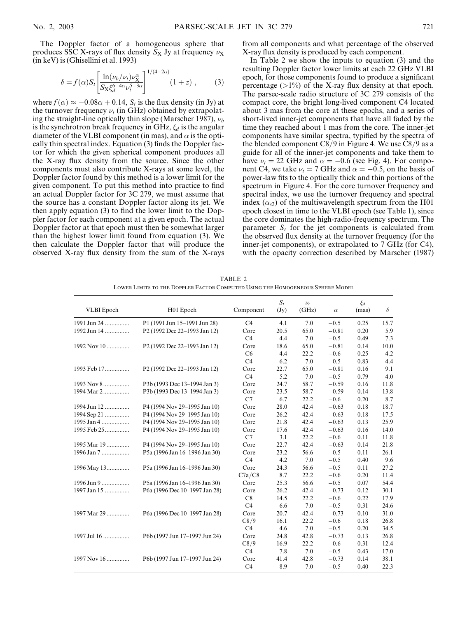The Doppler factor of a homogeneous sphere that produces SSC X-rays of flux density  $S_X$  Jy at frequency  $\nu_X$ (in keV) is (Ghisellini et al. 1993)

$$
\delta = f(\alpha) S_t \left[ \frac{\ln(\nu_b/\nu_t) \nu_X^{\alpha}}{S_X \xi_d^{\delta - 4\alpha} \nu_t^{5 - 3\alpha}} \right]^{1/(4 - 2\alpha)} (1 + z) ,\qquad (3)
$$

where  $f(\alpha) \approx -0.08\alpha + 0.14$ ,  $S_t$  is the flux density (in Jy) at the turnover frequency  $\nu_t$  (in GHz) obtained by extrapolating the straight-line optically thin slope (Marscher 1987),  $\nu_b$ is the synchrotron break frequency in GHz,  $\xi_d$  is the angular diameter of the VLBI component (in mas), and  $\alpha$  is the optically thin spectral index. Equation (3) finds the Doppler factor for which the given spherical component produces all the X-ray flux density from the source. Since the other components must also contribute X-rays at some level, the Doppler factor found by this method is a lower limit for the given component. To put this method into practice to find an actual Doppler factor for 3C 279, we must assume that the source has a constant Doppler factor along its jet. We then apply equation (3) to find the lower limit to the Doppler factor for each component at a given epoch. The actual Doppler factor at that epoch must then be somewhat larger than the highest lower limit found from equation (3). We then calculate the Doppler factor that will produce the observed X-ray flux density from the sum of the X-rays

from all components and what percentage of the observed X-ray flux density is produced by each component.

In Table 2 we show the inputs to equation (3) and the resulting Doppler factor lower limits at each 22 GHz VLBI epoch, for those components found to produce a significant percentage  $(>1\%)$  of the X-ray flux density at that epoch. The parsec-scale radio structure of 3C 279 consists of the compact core, the bright long-lived component C4 located about 3 mas from the core at these epochs, and a series of short-lived inner-jet components that have all faded by the time they reached about 1 mas from the core. The inner-jet components have similar spectra, typified by the spectra of the blended component  $C8/9$  in Figure 4. We use  $C8/9$  as a guide for all of the inner-jet components and take them to have  $\nu_t = 22 \text{ GHz}$  and  $\alpha = -0.6$  (see Fig. 4). For component C4, we take  $\nu_t = 7$  GHz and  $\alpha = -0.5$ , on the basis of power-law fits to the optically thick and thin portions of the spectrum in Figure 4. For the core turnover frequency and spectral index, we use the turnover frequency and spectral index  $(\alpha_{s2})$  of the multiwavelength spectrum from the H01 epoch closest in time to the VLBI epoch (see Table 1), since the core dominates the high-radio-frequency spectrum. The parameter  $S_t$  for the jet components is calculated from the observed flux density at the turnover frequency (for the inner-jet components), or extrapolated to 7 GHz (for C4), with the opacity correction described by Marscher (1987)

| <b>VLBI</b> Epoch | H01 Epoch                                | Component      | $S_t$<br>(Jy) | $\nu_t$<br>(GHz) | $\alpha$ | $\xi_d$<br>(mas) | $\delta$ |
|-------------------|------------------------------------------|----------------|---------------|------------------|----------|------------------|----------|
| 1991 Jun 24       | P1 (1991 Jun 15-1991 Jun 28)             | C4             | 4.1           | 7.0              | $-0.5$   | 0.25             | 15.7     |
| 1992 Jun 14       | P2 (1992 Dec 22-1993 Jan 12)             | Core           | 20.5          | 65.0             | $-0.81$  | 0.20             | 5.9      |
|                   |                                          | C4             | 4.4           | 7.0              | $-0.5$   | 0.49             | 7.3      |
| 1992 Nov 10       | P <sub>2</sub> (1992 Dec 22-1993 Jan 12) | Core           | 18.6          | 65.0             | $-0.81$  | 0.14             | 10.0     |
|                   |                                          | C <sub>6</sub> | 4.4           | 22.2             | $-0.6$   | 0.25             | 4.2      |
|                   |                                          | C4             | 6.2           | 7.0              | $-0.5$   | 0.83             | 4.4      |
| 1993 Feb 17       | P <sub>2</sub> (1992 Dec 22–1993 Jan 12) | Core           | 22.7          | 65.0             | $-0.81$  | 0.16             | 9.1      |
|                   |                                          | C4             | 5.2           | 7.0              | $-0.5$   | 0.79             | 4.0      |
| 1993 Nov 8        | P3b (1993 Dec 13-1994 Jan 3)             | Core           | 24.7          | 58.7             | $-0.59$  | 0.16             | 11.8     |
| 1994 Mar 2        | P3b (1993 Dec 13-1994 Jan 3)             | Core           | 23.5          | 58.7             | $-0.59$  | 0.14             | 13.8     |
|                   |                                          | C7             | 6.7           | 22.2             | $-0.6$   | 0.20             | 8.7      |
| 1994 Jun 12       | P4 (1994 Nov 29-1995 Jan 10)             | Core           | 28.0          | 42.4             | $-0.63$  | 0.18             | 18.7     |
| 1994 Sep 21       | P4 (1994 Nov 29-1995 Jan 10)             | Core           | 26.2          | 42.4             | $-0.63$  | 0.18             | 17.5     |
| 1995 Jan 4        | P4 (1994 Nov 29-1995 Jan 10)             | Core           | 21.8          | 42.4             | $-0.63$  | 0.13             | 25.9     |
| 1995 Feb 25       | P4 (1994 Nov 29-1995 Jan 10)             | Core           | 17.6          | 42.4             | $-0.63$  | 0.16             | 14.0     |
|                   |                                          | C7             | 3.1           | 22.2             | $-0.6$   | 0.11             | 11.8     |
| 1995 Mar 19       | P4 (1994 Nov 29-1995 Jan 10)             | Core           | 22.7          | 42.4             | $-0.63$  | 0.14             | 21.8     |
| 1996 Jan 7        | P5a (1996 Jan 16-1996 Jan 30)            | Core           | 23.2          | 56.6             | $-0.5$   | 0.11             | 26.1     |
|                   |                                          | C4             | 4.2           | 7.0              | $-0.5$   | 0.40             | 9.6      |
| 1996 May 13       | P5a (1996 Jan 16–1996 Jan 30)            | Core           | 24.3          | 56.6             | $-0.5$   | 0.11             | 27.2     |
|                   |                                          | C7a/C8         | 8.7           | 22.2             | $-0.6$   | 0.20             | 11.4     |
| 1996 Jun 9        | P5a (1996 Jan 16-1996 Jan 30)            | Core           | 25.3          | 56.6             | $-0.5$   | 0.07             | 54.4     |
| 1997 Jan 15       | P6a (1996 Dec 10-1997 Jan 28)            | Core           | 26.2          | 42.4             | $-0.73$  | 0.12             | 30.1     |
|                   |                                          | C8             | 14.5          | 22.2             | $-0.6$   | 0.22             | 17.9     |
|                   |                                          | C <sub>4</sub> | 6.6           | 7.0              | $-0.5$   | 0.31             | 24.6     |
| 1997 Mar 29       | P6a (1996 Dec 10-1997 Jan 28)            | Core           | 20.7          | 42.4             | $-0.73$  | 0.10             | 31.0     |
|                   |                                          | C8/9           | 16.1          | 22.2             | $-0.6$   | 0.18             | 26.8     |
|                   |                                          | C4             | 4.6           | 7.0              | $-0.5$   | 0.20             | 34.5     |
| 1997 Jul 16       | P6b (1997 Jun 17-1997 Jun 24)            | Core           | 24.8          | 42.8             | $-0.73$  | 0.13             | 26.8     |
|                   |                                          | C8/9           | 16.9          | 22.2             | $-0.6$   | 0.31             | 12.4     |
|                   |                                          | C <sub>4</sub> | 7.8           | 7.0              | $-0.5$   | 0.43             | 17.0     |
| 1997 Nov 16       | P6b (1997 Jun 17-1997 Jun 24)            | Core           | 41.4          | 42.8             | $-0.73$  | 0.14             | 38.1     |
|                   |                                          | C4             | 8.9           | 7.0              | $-0.5$   | 0.40             | 22.3     |

TABLE 2 Lower Limits to the Doppler Factor Computed Using the Homogeneous Sphere Model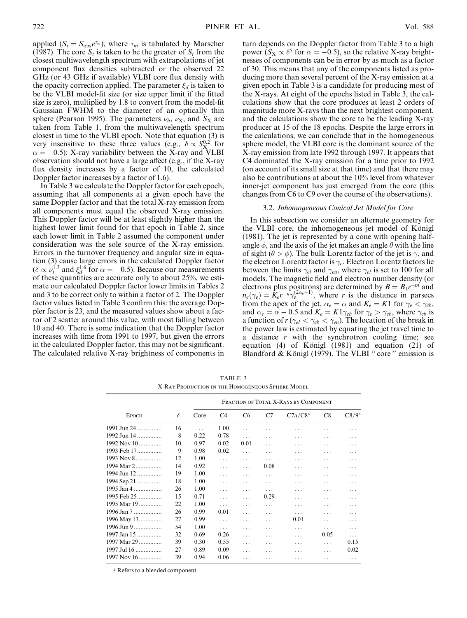applied ( $S_t = S_{obs}e^{\tau_m}$ ), where  $\tau_m$  is tabulated by Marscher (1987). The core  $S_t$  is taken to be the greater of  $S_t$  from the closest multiwavelength spectrum with extrapolations of jet component flux densities subtracted or the observed 22 GHz (or 43 GHz if available) VLBI core flux density with the opacity correction applied. The parameter  $\xi_d$  is taken to be the VLBI model-fit size (or size upper limit if the fitted size is zero), multiplied by 1.8 to convert from the model-fit Gaussian FWHM to the diameter of an optically thin sphere (Pearson 1995). The parameters  $\nu_b$ ,  $\nu_x$ , and  $S_x$  are taken from Table 1, from the multiwavelength spectrum closest in time to the VLBI epoch. Note that equation (3) is very insensitive to these three values (e.g.,  $\delta \propto S_{\text{X}}^{0.2}$  for  $\alpha = -0.5$ ); X-ray variability between the X-ray and VLBI observation should not have a large affect (e.g., if the X-ray flux density increases by a factor of 10, the calculated Doppler factor increases by a factor of 1.6).

In Table 3 we calculate the Doppler factor for each epoch, assuming that all components at a given epoch have the same Doppler factor and that the total X-ray emission from all components must equal the observed X-ray emission. This Doppler factor will be at least slightly higher than the highest lower limit found for that epoch in Table 2, since each lower limit in Table 2 assumed the component under consideration was the sole source of the X-ray emission. Errors in the turnover frequency and angular size in equation (3) cause large errors in the calculated Doppler factor  $(\delta \propto \nu_t^{1.3}$  and  $\xi_d^{1.6}$  for  $\alpha = -0.5$ ). Because our measurements of these quantities are accurate only to about 25%, we estimate our calculated Doppler factor lower limits in Tables 2 and 3 to be correct only to within a factor of 2. The Doppler factor values listed in Table 3 confirm this: the average Doppler factor is 23, and the measured values show about a factor of 2 scatter around this value, with most falling between 10 and 40. There is some indication that the Doppler factor increases with time from 1991 to 1997, but given the errors in the calculated Doppler factor, this may not be significant. The calculated relative X-ray brightness of components in

turn depends on the Doppler factor from Table 3 to a high power ( $S_X \propto \delta^5$  for  $\alpha = -0.5$ ), so the relative X-ray brightnesses of components can be in error by as much as a factor of 30. This means that any of the components listed as producing more than several percent of the X-ray emission at a given epoch in Table 3 is a candidate for producing most of the X-rays. At eight of the epochs listed in Table 3, the calculations show that the core produces at least 2 orders of magnitude more X-rays than the next brightest component, and the calculations show the core to be the leading X-ray producer at 15 of the 18 epochs. Despite the large errors in the calculations, we can conclude that in the homogeneous sphere model, the VLBI core is the dominant source of the X-ray emission from late 1992 through 1997. It appears that C4 dominated the X-ray emission for a time prior to 1992 (on account of its small size at that time) and that there may also be contributions at about the 10% level from whatever inner-jet component has just emerged from the core (this changes from C6 to C9 over the course of the observations).

### 3.2. Inhomogeneous Conical Jet Model for Core

In this subsection we consider an alternate geometry for the VLBI core, the inhomogeneous jet model of Königl (1981). The jet is represented by a cone with opening halfangle  $\phi$ , and the axis of the jet makes an angle  $\theta$  with the line of sight ( $\theta > \phi$ ). The bulk Lorentz factor of the jet is  $\gamma$ , and the electron Lorentz factor is  $\gamma_e$ . Electron Lorentz factors lie between the limits  $\gamma_{el}$  and  $\gamma_{eu}$ , where  $\gamma_{el}$  is set to 100 for all models. The magnetic field and electron number density (or electrons plus positrons) are determined by  $B = B_1 r^{-m}$  and  $n_e(\gamma_e) = K_e r^{-n} \gamma_e^{(2\alpha_e-1)}$ , where r is the distance in parsecs from the apex of the jet,  $\alpha_e = \alpha$  and  $K_e = K1$  for  $\gamma_e < \gamma_{eb}$ , and  $\alpha_e = \alpha - 0.5$  and  $K_e = K1\gamma_{eb}$  for  $\gamma_e > \gamma_{eb}$ , where  $\gamma_{eb}$  is a function of  $r (\gamma_{el} < \gamma_{eb} < \gamma_{eu})$ . The location of the break in the power law is estimated by equating the jet travel time to a distance r with the synchrotron cooling time; see equation (4) of Königl (1981) and equation (21) of Blandford & Königl (1979). The VLBI "core" emission is

TABLE 3 X-Ray Production in the Homogeneous Sphere Model

|                 |    |      |          |                |      | FRACTION OF TOTAL X-RAYS BY COMPONENT |      |              |
|-----------------|----|------|----------|----------------|------|---------------------------------------|------|--------------|
| <b>EPOCH</b>    | δ  | Core | C4       | C <sub>6</sub> | C7   | C7a/C8 <sup>a</sup>                   | C8   | $\rm C8/9^a$ |
| 1991 Jun 24     | 16 | .    | 1.00     | .              |      |                                       |      |              |
| 1992 Jun 14     | 8  | 0.22 | 0.78     | .              | .    | .                                     | .    | .            |
| $1992$ Nov $10$ | 10 | 0.97 | 0.02     | 0.01           | .    | .                                     | .    | .            |
| 1993 Feb 17     | 9  | 0.98 | 0.02     | .              | .    | .                                     | .    | .            |
| $1993$ Nov 8    | 12 | 1.00 | .        | .              | .    | .                                     | .    | .            |
| 1994 Mar 2      | 14 | 0.92 | .        | .              | 0.08 | .                                     | .    | .            |
| 1994 Jun 12     | 19 | 1.00 | .        | .              | .    | .                                     | .    | .            |
| 1994 Sep 21     | 18 | 1.00 | .        | .              | .    | .                                     | .    | .            |
| 1995 Jan 4      | 26 | 1.00 | .        | .              | .    | .                                     |      | .            |
| 1995 Feb 25     | 15 | 0.71 | .        | .              | 0.29 | .                                     |      | .            |
| 1995 Mar 19     | 22 | 1.00 | $\cdots$ | .              | .    | .                                     | .    | .            |
| 1996 Jan 7      | 26 | 0.99 | 0.01     | .              | .    | .                                     | .    | .            |
| 1996 May 13     | 27 | 0.99 | .        | .              | .    | 0.01                                  | .    | .            |
| 1996 Jun 9      | 54 | 1.00 | .        | .              | .    | .                                     | .    | .            |
| 1997 Jan 15     | 32 | 0.69 | 0.26     | .              | .    | .                                     | 0.05 | .            |
| 1997 Mar 29     | 39 | 0.30 | 0.55     | .              | .    | .                                     | .    | 0.15         |
| $1997$ Jul 16   | 27 | 0.89 | 0.09     | .              | .    | .                                     |      | 0.02         |
| $1997$ Nov 16   | 39 | 0.94 | 0.06     | .              | .    | .                                     | .    | .            |

<sup>a</sup> Refers to a blended component.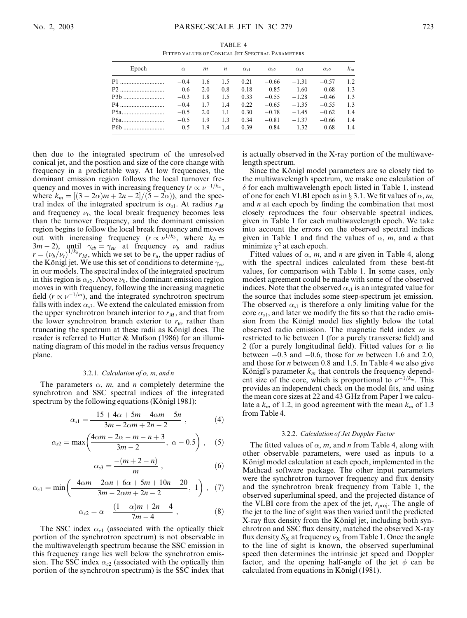TABLE 4 Fitted values of Conical Jet Spectral Parameters

| Epoch | $\alpha$ | m   | $\boldsymbol{n}$ | $\alpha_{s1}$ | $\alpha_{s2}$ | $\alpha_{s3}$ | $\alpha_{c2}$ | $k_m$ |
|-------|----------|-----|------------------|---------------|---------------|---------------|---------------|-------|
|       | $-0.4$   | 1.6 | 1.5              | 0.21          | $-0.66$       | $-1.31$       | $-0.57$       | 12    |
|       | $-0.6$   | 2.0 | 0.8              | 0.18          | $-0.85$       | $-1.60$       | $-0.68$       | 1.3   |
|       | $-0.3$   | 1.8 | 1.5              | 0.33          | $-0.55$       | $-1.28$       | $-0.46$       | 1.3   |
| P4    | $-0.4$   | 1.7 | 1.4              | 0.22          | $-0.65$       | $-1.35$       | $-0.55$       | 1.3   |
|       | $-0.5$   | 2.0 | 1.1              | 0.30          | $-0.78$       | $-1.45$       | $-0.62$       | 1.4   |
|       | $-0.5$   | 19  | 1.3              | 0.34          | $-0.81$       | $-1.37$       | $-0.66$       | 1.4   |
|       | $-0.5$   | 19  | 1.4              | 0.39          | $-0.84$       | $-1.32$       | $-0.68$       | 1.4   |

then due to the integrated spectrum of the unresolved conical jet, and the position and size of the core change with frequency in a predictable way. At low frequencies, the dominant emission region follows the local turnover frequency and moves in with increasing frequency ( $r \propto \nu^{-1/k_m}$ , where  $k_m = [(3 - 2\alpha)m + 2n - 2]/(5 - 2\alpha)$ , and the spectral index of the integrated spectrum is  $\alpha_{s1}$ . At radius  $r_M$ and frequency  $\nu_t$ , the local break frequency becomes less than the turnover frequency, and the dominant emission region begins to follow the local break frequency and moves out with increasing frequency  $(r \propto \nu^{1/k_b})$ , where  $k_b =$  $3m-2$ ), until  $\gamma_{eb} = \gamma_{eu}$  at frequency  $\nu_b$  and radius  $r = (\nu_b/\nu_t)^{1/k_b} r_M$ , which we set to be  $r_u$ , the upper radius of the Königl jet. We use this set of conditions to determine  $\gamma_{eu}$ in our models. The spectral index of the integrated spectrum in this region is  $\alpha_{s2}$ . Above  $\nu_b$ , the dominant emission region moves in with frequency, following the increasing magnetic field ( $r \propto \nu^{-1/m}$ ), and the integrated synchrotron spectrum falls with index  $\alpha_{s3}$ . We extend the calculated emission from the upper synchrotron branch interior to  $r_M$ , and that from the lower synchrotron branch exterior to  $r<sub>u</sub>$ , rather than truncating the spectrum at these radii as Königl does. The reader is referred to Hutter & Mufson (1986) for an illuminating diagram of this model in the radius versus frequency plane.

#### 3.2.1. Calculation of  $\alpha$ , m, and n

The parameters  $\alpha$ , m, and n completely determine the synchrotron and SSC spectral indices of the integrated spectrum by the following equations (Königl 1981):

$$
\alpha_{s1} = \frac{-15 + 4\alpha + 5m - 4\alpha m + 5n}{3m - 2\alpha m + 2n - 2} \,,\tag{4}
$$

$$
\alpha_{s2} = \max\left(\frac{4\alpha m - 2\alpha - m - n + 3}{3m - 2}, \ \alpha - 0.5\right), \quad (5)
$$

$$
\alpha_{s3} = \frac{-(m+2-n)}{m} \;, \tag{6}
$$

$$
\alpha_{c1} = \min\left(\frac{-4\alpha m - 2\alpha n + 6\alpha + 5m + 10n - 20}{3m - 2\alpha m + 2n - 2}, 1\right), (7)
$$

$$
\alpha_{c2} = \alpha - \frac{(1 - \alpha)m + 2n - 4}{7m - 4} , \qquad (8)
$$

The SSC index  $\alpha_{c1}$  (associated with the optically thick portion of the synchrotron spectrum) is not observable in the multiwavelength spectrum because the SSC emission in this frequency range lies well below the synchrotron emission. The SSC index  $\alpha_{c2}$  (associated with the optically thin portion of the synchrotron spectrum) is the SSC index that is actually observed in the X-ray portion of the multiwavelength spectrum.

Since the Königl model parameters are so closely tied to the multiwavelength spectrum, we make one calculation of  $\delta$  for each multiwavelength epoch listed in Table 1, instead of one for each VLBI epoch as in § 3.1. We fit values of  $\alpha$ , m, and  $n$  at each epoch by finding the combination that most closely reproduces the four observable spectral indices, given in Table 1 for each multiwavelength epoch. We take into account the errors on the observed spectral indices given in Table 1 and find the values of  $\alpha$ , m, and n that minimize  $\chi^2$  at each epoch.

Fitted values of  $\alpha$ , m, and n are given in Table 4, along with the spectral indices calculated from these best-fit values, for comparison with Table 1. In some cases, only modest agreement could be made with some of the observed indices. Note that the observed  $\alpha_{s1}$  is an integrated value for the source that includes some steep-spectrum jet emission. The observed  $\alpha_{s1}$  is therefore a only limiting value for the core  $\alpha_{s1}$ , and later we modify the fits so that the radio emission from the Königl model lies slightly below the total observed radio emission. The magnetic field index  $m$  is restricted to lie between 1 (for a purely transverse field) and 2 (for a purely longitudinal field). Fitted values for  $\alpha$  lie between  $-0.3$  and  $-0.6$ , those for *m* between 1.6 and 2.0, and those for n between 0.8 and 1.5. In Table 4 we also give Königl's parameter  $k_m$  that controls the frequency dependent size of the core, which is proportional to  $\nu^{-1/k_m}$ . This provides an independent check on the model fits, and using the mean core sizes at 22 and 43 GHz from Paper I we calculate a  $k_m$  of 1.2, in good agreement with the mean  $k_m$  of 1.3 from Table 4.

#### 3.2.2. Calculation of Jet Doppler Factor

The fitted values of  $\alpha$ , m, and n from Table 4, along with other observable parameters, were used as inputs to a Königl model calculation at each epoch, implemented in the Mathcad software package. The other input parameters were the synchrotron turnover frequency and flux density and the synchrotron break frequency from Table 1, the observed superluminal speed, and the projected distance of the VLBI core from the apex of the jet,  $r_{\text{proj}}$ . The angle of the jet to the line of sight was then varied until the predicted X-ray flux density from the Königl jet, including both synchrotron and SSC flux density, matched the observed X-ray flux density  $S_x$  at frequency  $\nu_x$  from Table 1. Once the angle to the line of sight is known, the observed superluminal speed then determines the intrinsic jet speed and Doppler factor, and the opening half-angle of the jet  $\phi$  can be calculated from equations in Königl (1981).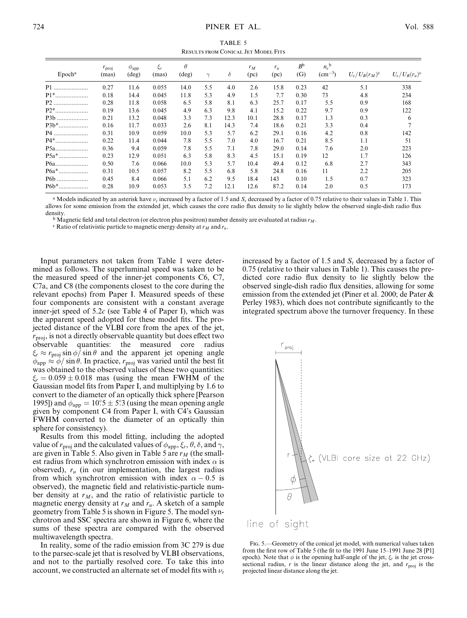TABLE 5 Results from Conical Jet Model Fits

| Epoch <sup>a</sup> | $r_{\text{proj}}$<br>(mas) | $\varphi_{\rm app}$<br>$(\text{deg})$ | $\xi_r$<br>(mas) | $\theta$<br>$(\text{deg})$ | $\gamma$ | $\delta$ | $r_M$<br>(pc) | $r_u$<br>(pc) | $B^{\rm b}$<br>(G) | $n_e$ <sup>b</sup><br>$\rm (cm^{-3})$ | $U_e/U_B(r_M)^c$ | $U_e/U_B(r_u)^c$ |
|--------------------|----------------------------|---------------------------------------|------------------|----------------------------|----------|----------|---------------|---------------|--------------------|---------------------------------------|------------------|------------------|
| P1<br>.            | 0.27                       | 11.6                                  | 0.055            | 14.0                       | 5.5      | 4.0      | 2.6           | 15.8          | 0.23               | 42                                    | 5.1              | 338              |
| $P1$ <sup>*</sup>  | 0.18                       | 14.4                                  | 0.045            | 11.8                       | 5.3      | 4.9      | 1.5           | 7.7           | 0.30               | 73                                    | 4.8              | 234              |
| P2                 | 0.28                       | 11.8                                  | 0.058            | 6.5                        | 5.8      | 8.1      | 6.3           | 25.7          | 0.17               | 5.5                                   | 0.9              | 168              |
| $P2$ *             | 0.19                       | 13.6                                  | 0.045            | 4.9                        | 6.3      | 9.8      | 4.1           | 15.2          | 0.22               | 9.7                                   | 0.9              | 122              |
| P3b                | 0.21                       | 13.2                                  | 0.048            | 3.3                        | 7.3      | 12.3     | 10.1          | 28.8          | 0.17               | 1.3                                   | 0.3              | 6                |
| P3b*               | 0.16                       | 11.7                                  | 0.033            | 2.6                        | 8.1      | 14.3     | 7.4           | 18.6          | 0.21               | 3.3                                   | 0.4              | $\overline{7}$   |
| $P4$ .             | 0.31                       | 10.9                                  | 0.059            | 10.0                       | 5.3      | 5.7      | 6.2           | 29.1          | 0.16               | 4.2                                   | 0.8              | 142              |
| P4*                | 0.22                       | 11.4                                  | 0.044            | 7.8                        | 5.5      | 7.0      | 4.0           | 16.7          | 0.21               | 8.5                                   | 1.1              | 51               |
| P <sub>5a</sub> .  | 0.36                       | 9.4                                   | 0.059            | 7.8                        | 5.5      | 7.1      | 7.8           | 29.0          | 0.14               | 7.6                                   | 2.0              | 223              |
| $P5a*$             | 0.23                       | 12.9                                  | 0.051            | 6.3                        | 5.8      | 8.3      | 4.5           | 15.1          | 0.19               | 12                                    | 1.7              | 126              |
| P6a                | 0.50                       | 7.6                                   | 0.066            | 10.0                       | 5.3      | 5.7      | 10.4          | 49.4          | 0.12               | 6.8                                   | 2.7              | 343              |
| $P6a*$             | 0.31                       | 10.5                                  | 0.057            | 8.2                        | 5.5      | 6.8      | 5.8           | 24.8          | 0.16               | 11                                    | 2.2              | 205              |
| P6b                | 0.45                       | 8.4                                   | 0.066            | 5.1                        | 6.2      | 9.5      | 18.4          | 143           | 0.10               | 1.5                                   | 0.7              | 323              |
| $P6b*$             | 0.28                       | 10.9                                  | 0.053            | 3.5                        | 7.2      | 12.1     | 12.6          | 87.2          | 0.14               | 2.0                                   | 0.5              | 173              |

<sup>a</sup> Models indicated by an asterisk have  $\nu_t$  increased by a factor of 1.5 and  $S_t$  decreased by a factor of 0.75 relative to their values in Table 1. This allows for some emission from the extended jet, which causes the core radio flux density to lie slightly below the observed single-dish radio flux density.

<sup>b</sup> Magnetic field and total electron (or electron plus positron) number density are evaluated at radius  $r_M$ .<br><sup>c</sup> Ratio of relativistic particle to magnetic energy density at  $r_M$  and  $r_u$ .

Input parameters not taken from Table 1 were determined as follows. The superluminal speed was taken to be the measured speed of the inner-jet components C6, C7, C7a, and C8 (the components closest to the core during the relevant epochs) from Paper I. Measured speeds of these four components are consistent with a constant average inner-jet speed of  $5.2c$  (see Table 4 of Paper I), which was the apparent speed adopted for these model fits. The projected distance of the VLBI core from the apex of the jet,  $r_{\text{proj}}$ , is not a directly observable quantity but does effect two observable quantities: the measured core radius  $\xi_r \approx r_{\text{proj}} \sin \phi / \sin \theta$  and the apparent jet opening angle  $\phi_{\rm app} \approx \phi / \sin \theta$ . In practice,  $r_{\rm proj}$  was varied until the best fit was obtained to the observed values of these two quantities:  $\xi_r = 0.059 \pm 0.018$  mas (using the mean FWHM of the Gaussian model fits from Paper I, and multiplying by 1.6 to convert to the diameter of an optically thick sphere [Pearson 1995]) and  $\phi_{\rm app} = 10^\circ 5 \pm 5^\circ 3$  (using the mean opening angle given by component C4 from Paper I, with C4's Gaussian FWHM converted to the diameter of an optically thin sphere for consistency).

Results from this model fitting, including the adopted value of  $r_{\text{proj}}$  and the calculated values of  $\phi_{\text{app}}, \xi_r, \theta, \delta$ , and  $\gamma$ , are given in Table 5. Also given in Table 5 are  $r_M$  (the smallest radius from which synchrotron emission with index  $\alpha$  is observed),  $r_u$  (in our implementation, the largest radius from which synchrotron emission with index  $\alpha - 0.5$  is observed), the magnetic field and relativistic-particle number density at  $r_M$ , and the ratio of relativistic particle to magnetic energy density at  $r_M$  and  $r_u$ . A sketch of a sample geometry from Table 5 is shown in Figure 5. The model synchrotron and SSC spectra are shown in Figure 6, where the sums of these spectra are compared with the observed multiwavelength spectra.

In reality, some of the radio emission from 3C 279 is due to the parsec-scale jet that is resolved by VLBI observations, and not to the partially resolved core. To take this into account, we constructed an alternate set of model fits with  $\nu_t$  increased by a factor of 1.5 and  $S_t$  decreased by a factor of 0.75 (relative to their values in Table 1). This causes the predicted core radio flux density to lie slightly below the observed single-dish radio flux densities, allowing for some emission from the extended jet (Piner et al. 2000; de Pater & Perley 1983), which does not contribute significantly to the integrated spectrum above the turnover frequency. In these



Fig. 5.—Geometry of the conical jet model, with numerical values taken from the first row of Table 5 (the fit to the 1991 June 15–1991 June 28 [P1] epoch). Note that  $\phi$  is the opening half-angle of the jet,  $\xi_r$  is the jet crosssectional radius, r is the linear distance along the jet, and  $r_{\text{proj}}$  is the projected linear distance along the jet.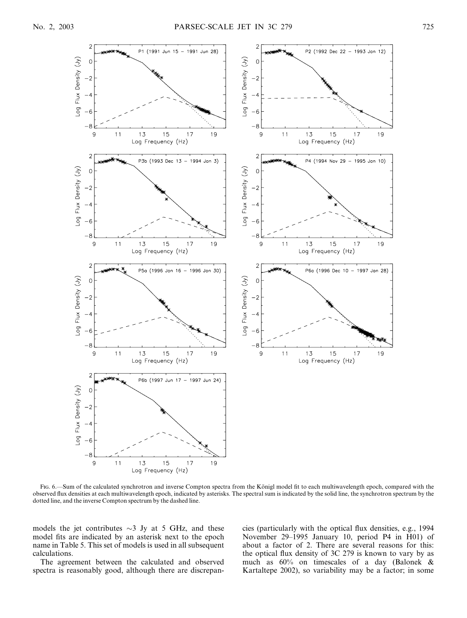

Fig. 6.—Sum of the calculated synchrotron and inverse Compton spectra from the Königl model fit to each multiwavelength epoch, compared with the observed flux densities at each multiwavelength epoch, indicated by asterisks. The spectral sum is indicated by the solid line, the synchrotron spectrum by the dotted line, and the inverse Compton spectrum by the dashed line.

models the jet contributes  $\sim$ 3 Jy at 5 GHz, and these model fits are indicated by an asterisk next to the epoch name in Table 5. This set of models is used in all subsequent calculations.

The agreement between the calculated and observed spectra is reasonably good, although there are discrepancies (particularly with the optical flux densities, e.g., 1994 November 29–1995 January 10, period P4 in H01) of about a factor of 2. There are several reasons for this: the optical flux density of 3C 279 is known to vary by as much as 60% on timescales of a day (Balonek & Kartaltepe 2002), so variability may be a factor; in some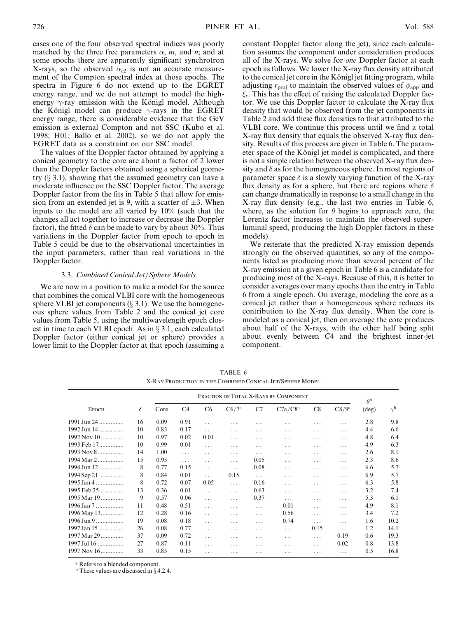cases one of the four observed spectral indices was poorly matched by the three free parameters  $\alpha$ , m, and n; and at some epochs there are apparently significant synchrotron X-rays, so the observed  $\alpha_{c2}$  is not an accurate measurement of the Compton spectral index at those epochs. The spectra in Figure 6 do not extend up to the EGRET energy range, and we do not attempt to model the highenergy  $\gamma$ -ray emission with the Königl model. Although the Königl model can produce  $\gamma$ -rays in the EGRET energy range, there is considerable evidence that the GeV emission is external Compton and not SSC (Kubo et al. 1998; H01; Ballo et al. 2002), so we do not apply the EGRET data as a constraint on our SSC model.

The values of the Doppler factor obtained by applying a conical geometry to the core are about a factor of 2 lower than the Doppler factors obtained using a spherical geometry  $(\S$  3.1), showing that the assumed geometry can have a moderate influence on the SSC Doppler factor. The average Doppler factor from the fits in Table 5 that allow for emission from an extended jet is 9, with a scatter of  $\pm 3$ . When inputs to the model are all varied by 10% (such that the changes all act together to increase or decrease the Doppler factor), the fitted  $\delta$  can be made to vary by about 30%. Thus variations in the Doppler factor from epoch to epoch in Table 5 could be due to the observational uncertainties in the input parameters, rather than real variations in the Doppler factor.

#### 3.3. Combined Conical Jet/Sphere Models

We are now in a position to make a model for the source that combines the conical VLBI core with the homogeneous sphere VLBI jet components  $(\S 3.1)$ . We use the homogeneous sphere values from Table 2 and the conical jet core values from Table 5, using the multiwavelength epoch closest in time to each VLBI epoch. As in  $\S 3.1$ , each calculated Doppler factor (either conical jet or sphere) provides a lower limit to the Doppler factor at that epoch (assuming a constant Doppler factor along the jet), since each calculation assumes the component under consideration produces all of the X-rays. We solve for one Doppler factor at each epoch as follows. We lower the X-ray flux density attributed to the conical jet core in the Königl jet fitting program, while adjusting  $r_{\text{proj}}$  to maintain the observed values of  $\phi_{\text{app}}$  and  $\xi_r$ . This has the effect of raising the calculated Doppler factor. We use this Doppler factor to calculate the X-ray flux density that would be observed from the jet components in Table 2 and add these flux densities to that attributed to the VLBI core. We continue this process until we find a total X-ray flux density that equals the observed X-ray flux density. Results of this process are given in Table 6. The parameter space of the Königl jet model is complicated, and there is not a simple relation between the observed X-ray flux density and  $\delta$  as for the homogeneous sphere. In most regions of parameter space  $\delta$  is a slowly varying function of the X-ray flux density as for a sphere, but there are regions where  $\delta$ can change dramatically in response to a small change in the X-ray flux density (e.g., the last two entries in Table 6, where, as the solution for  $\theta$  begins to approach zero, the Lorentz factor increases to maintain the observed superluminal speed, producing the high Doppler factors in these models).

We reiterate that the predicted X-ray emission depends strongly on the observed quantities, so any of the components listed as producing more than several percent of the X-ray emission at a given epoch in Table 6 is a candidate for producing most of the X-rays. Because of this, it is better to consider averages over many epochs than the entry in Table 6 from a single epoch. On average, modeling the core as a conical jet rather than a homogeneous sphere reduces its contribution to the X-ray flux density. When the core is modeled as a conical jet, then on average the core produces about half of the X-rays, with the other half being split about evenly between C4 and the brightest inner-jet component.

TABLE 6 X-Ray Production in the Combined Conical Jet/Sphere Model

|                  |    |      | $\theta$       |                |          |          |                     |          |       |       |                  |
|------------------|----|------|----------------|----------------|----------|----------|---------------------|----------|-------|-------|------------------|
| <b>EPOCH</b>     | δ  | Core | C <sub>4</sub> | C <sub>6</sub> | C6/7a    | C7       | C7a/C8 <sup>a</sup> | C8       | C8/9a | (deg) | $\gamma^{\rm b}$ |
| 1991 Jun 24      | 16 | 0.09 | 0.91           | .              | .        | .        |                     | .        | .     | 2.8   | 9.8              |
| 1992 Jun 14      | 10 | 0.83 | 0.17           | .              | .        | .        | .                   | .        | .     | 4.4   | 6.6              |
| 1992 Nov 10      | 10 | 0.97 | 0.02           | 0.01           | .        | .        | .                   | .        | .     | 4.8   | 6.4              |
| 1993 Feb 17      | 10 | 0.99 | 0.01           | .              | .        | .        | .                   | .        | .     | 4.9   | 6.3              |
| 1993 Nov 8       | 14 | 1.00 | $\cdots$       | .              | .        | .        | .                   | .        | .     | 2.6   | 8.1              |
| 1994 Mar 2       | 15 | 0.95 | .              | .              | .        | 0.05     | .                   | .        | .     | 2.3   | 8.6              |
| 1994 Jun 12<br>. | 8  | 0.77 | 0.15           | .              | $\cdots$ | 0.08     | .                   | .        | .     | 6.6   | 5.7              |
| 1994 Sep 21      | 8  | 0.84 | 0.01           | $\ldots$       | 0.15     | $\cdots$ | .                   | .        | .     | 6.9   | 5.7              |
| 1995 Jan 4       | 8  | 0.72 | 0.07           | 0.05           | $\cdots$ | 0.16     | .                   | .        | .     | 6.3   | 5.8              |
| 1995 Feb 25      | 13 | 0.36 | 0.01           | $\cdots$       | $\cdots$ | 0.63     | .                   | .        | .     | 3.2   | 7.4              |
| 1995 Mar 19      | 9  | 0.57 | 0.06           | $\cdots$       | .        | 0.37     | .                   | .        | .     | 5.3   | 6.1              |
| 1996 Jan 7       | 11 | 0.48 | 0.51           | .              | .        | .        | 0.01                | .        | .     | 4.9   | 8.1              |
| 1996 May 13      | 12 | 0.28 | 0.16           | .              | .        | .        | 0.56                | .        | .     | 3.4   | 7.2              |
| 1996 Jun 9       | 19 | 0.08 | 0.18           | .              | .        | .        | 0.74                | $\cdots$ | .     | 1.6   | 10.2             |
| 1997 Jan 15      | 26 | 0.08 | 0.77           | .              | .        | .        | .                   | 0.15     | .     | 1.2   | 14.1             |
| 1997 Mar 29      | 37 | 0.09 | 0.72           | .              | .        | .        | .                   | .        | 0.19  | 0.6   | 19.3             |
| 1997 Jul 16      | 27 | 0.87 | 0.11           | .              | .        | .        | .                   | .        | 0.02  | 0.8   | 13.8             |
| 1997 Nov 16      | 33 | 0.85 | 0.15           | .              | .        | .        | .                   | .        | .     | 0.5   | 16.8             |

<sup>a</sup> Refers to a blended component.

 $<sup>b</sup>$  These values are discussed in § 4.2.4.</sup>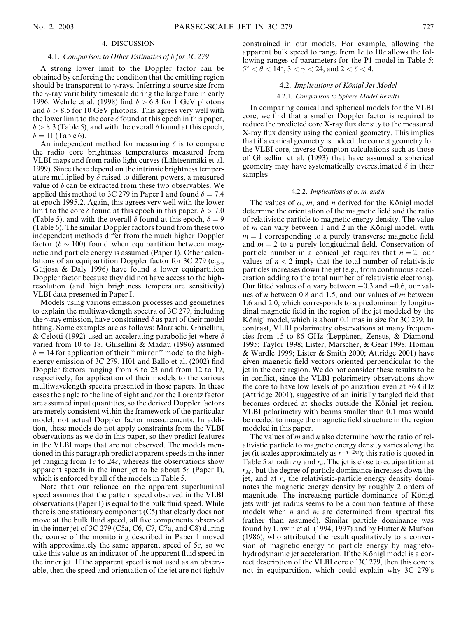#### 4. DISCUSSION

#### 4.1. Comparison to Other Estimates of  $\delta$  for 3C 279

A strong lower limit to the Doppler factor can be obtained by enforcing the condition that the emitting region should be transparent to  $\gamma$ -rays. Inferring a source size from the  $\gamma$ -ray variability timescale during the large flare in early 1996, Wehrle et al. (1998) find  $\delta > 6.3$  for 1 GeV photons and  $\delta > 8.5$  for 10 GeV photons. This agrees very well with the lower limit to the core  $\delta$  found at this epoch in this paper,  $\delta > 8.3$  (Table 5), and with the overall  $\delta$  found at this epoch,  $\delta = 11$  (Table 6).

An independent method for measuring  $\delta$  is to compare the radio core brightness temperatures measured from VLBI maps and from radio light curves (Lähteenmäki et al. 1999). Since these depend on the intrinsic brightness temperature multiplied by  $\delta$  raised to different powers, a measured value of  $\delta$  can be extracted from these two observables. We applied this method to 3C 279 in Paper I and found  $\delta = 7.4$ at epoch 1995.2. Again, this agrees very well with the lower limit to the core  $\delta$  found at this epoch in this paper,  $\delta > 7.0$ (Table 5), and with the overall  $\delta$  found at this epoch,  $\delta = 9$ (Table 6). The similar Doppler factors found from these two independent methods differ from the much higher Doppler factor ( $\delta \sim 100$ ) found when equipartition between magnetic and particle energy is assumed (Paper I). Other calculations of an equipartition Doppler factor for 3C 279 (e.g., Güijosa  $\&$  Daly 1996) have found a lower equipartition Doppler factor because they did not have access to the highresolution (and high brightness temperature sensitivity) VLBI data presented in Paper I.

Models using various emission processes and geometries to explain the multiwavelength spectra of 3C 279, including the  $\gamma$ -ray emission, have constrained  $\delta$  as part of their model fitting. Some examples are as follows: Maraschi, Ghisellini, & Celotti (1992) used an accelerating parabolic jet where  $\delta$ varied from 10 to 18. Ghisellini & Madau (1996) assumed  $\delta = 14$  for application of their "mirror" model to the highenergy emission of 3C 279. H01 and Ballo et al. (2002) find Doppler factors ranging from 8 to 23 and from 12 to 19, respectively, for application of their models to the various multiwavelength spectra presented in those papers. In these cases the angle to the line of sight and/or the Lorentz factor are assumed input quantities, so the derived Doppler factors are merely consistent within the framework of the particular model, not actual Doppler factor measurements. In addition, these models do not apply constraints from the VLBI observations as we do in this paper, so they predict features in the VLBI maps that are not observed. The models mentioned in this paragraph predict apparent speeds in the inner jet ranging from  $1c$  to  $24c$ , whereas the observations show apparent speeds in the inner jet to be about  $5c$  (Paper I), which is enforced by all of the models in Table 5.

Note that our reliance on the apparent superluminal speed assumes that the pattern speed observed in the VLBI observations (Paper I) is equal to the bulk fluid speed. While there is one stationary component (C5) that clearly does not move at the bulk fluid speed, all five components observed in the inner jet of 3C 279 (C5a, C6, C7, C7a, and C8) during the course of the monitoring described in Paper I moved with approximately the same apparent speed of  $5c$ , so we take this value as an indicator of the apparent fluid speed in the inner jet. If the apparent speed is not used as an observable, then the speed and orientation of the jet are not tightly constrained in our models. For example, allowing the apparent bulk speed to range from  $1c$  to  $10c$  allows the following ranges of parameters for the P1 model in Table 5:  $5^{\circ} < \bar{\theta} < 14^{\circ}, 3 < \gamma < 24$ , and  $2 < \delta < 4$ .

#### 4.2. Implications of Königl Jet Model

#### 4.2.1. Comparison to Sphere Model Results

In comparing conical and spherical models for the VLBI core, we find that a smaller Doppler factor is required to reduce the predicted core X-ray flux density to the measured X-ray flux density using the conical geometry. This implies that if a conical geometry is indeed the correct geometry for the VLBI core, inverse Compton calculations such as those of Ghisellini et al. (1993) that have assumed a spherical geometry may have systematically overestimated  $\delta$  in their samples.

#### 4.2.2. Implications of  $\alpha$ , m, and n

The values of  $\alpha$ , m, and n derived for the Königl model determine the orientation of the magnetic field and the ratio of relativistic particle to magnetic energy density. The value of  $m$  can vary between 1 and 2 in the Königl model, with  $m = 1$  corresponding to a purely transverse magnetic field and  $m = 2$  to a purely longitudinal field. Conservation of particle number in a conical jet requires that  $n = 2$ ; our values of  $n < 2$  imply that the total number of relativistic particles increases down the jet (e.g., from continuous acceleration adding to the total number of relativistic electrons). Our fitted values of  $\alpha$  vary between  $-0.3$  and  $-0.6$ , our values of  $n$  between 0.8 and 1.5, and our values of  $m$  between 1.6 and 2.0, which corresponds to a predominantly longitudinal magnetic field in the region of the jet modeled by the Königl model, which is about 0.1 mas in size for 3C 279. In contrast, VLBI polarimetry observations at many frequencies from 15 to 86 GHz (Leppänen, Zensus,  $&$  Diamond 1995; Taylor 1998; Lister, Marscher, & Gear 1998; Homan & Wardle 1999; Lister & Smith 2000; Attridge 2001) have given magnetic field vectors oriented perpendicular to the jet in the core region. We do not consider these results to be in conflict, since the VLBI polarimetry observations show the core to have low levels of polarization even at 86 GHz (Attridge 2001), suggestive of an initially tangled field that becomes ordered at shocks outside the Königl jet region. VLBI polarimetry with beams smaller than 0.1 mas would be needed to image the magnetic field structure in the region modeled in this paper.

The values of  $m$  and  $n$  also determine how the ratio of relativistic particle to magnetic energy density varies along the jet (it scales approximately as  $r^{-n+2m}$ ); this ratio is quoted in Table 5 at radii  $r_M$  and  $r_u$ . The jet is close to equipartition at  $r_M$ , but the degree of particle dominance increases down the jet, and at  $r_u$  the relativistic-particle energy density dominates the magnetic energy density by roughly 2 orders of magnitude. The increasing particle dominance of Königl jets with jet radius seems to be a common feature of these models when  $n$  and  $m$  are determined from spectral fits (rather than assumed). Similar particle dominance was found by Unwin et al. (1994, 1997) and by Hutter & Mufson (1986), who attributed the result qualitatively to a conversion of magnetic energy to particle energy by magnetohydrodynamic jet acceleration. If the Königl model is a correct description of the VLBI core of 3C 279, then this core is not in equipartition, which could explain why 3C 279's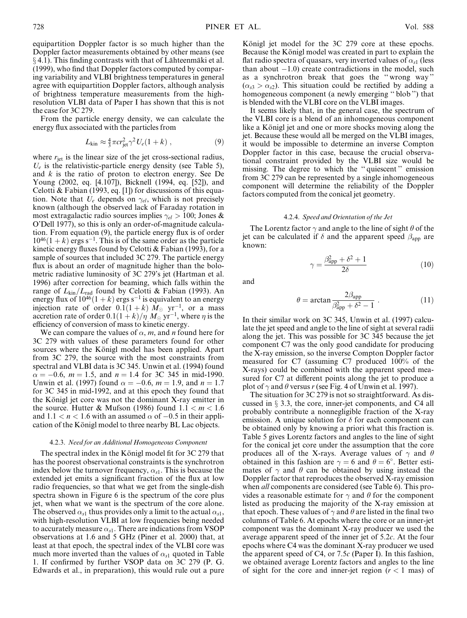equipartition Doppler factor is so much higher than the Doppler factor measurements obtained by other means (see  $\S$  4.1). This finding contrasts with that of Lähteenmäki et al. (1999), who find that Doppler factors computed by comparing variability and VLBI brightness temperatures in general agree with equipartition Doppler factors, although analysis of brightness temperature measurements from the highresolution VLBI data of Paper I has shown that this is not the case for 3C 279.

From the particle energy density, we can calculate the energy flux associated with the particles from

$$
L_{\rm kin} \approx \frac{4}{3}\pi c r_{\rm jet}^2 \gamma^2 U_e (1+k) \;, \tag{9}
$$

where  $r_{\text{jet}}$  is the linear size of the jet cross-sectional radius,  $U_e$  is the relativistic-particle energy density (see Table 5), and  $k$  is the ratio of proton to electron energy. See De Young (2002, eq. [4.107]), Bicknell (1994, eq. [52]), and Celotti & Fabian (1993, eq. [1]) for discussions of this equation. Note that  $U_e$  depends on  $\gamma_{el}$ , which is not precisely known (although the observed lack of Faraday rotation in most extragalactic radio sources implies  $\gamma_{el} > 100$ ; Jones & O'Dell 1977), so this is only an order-of-magnitude calculation. From equation (9), the particle energy flux is of order  $10^{46}(1+k)$  ergs s<sup>-1</sup>. This is of the same order as the particle kinetic energy fluxes found by Celotti  $& Fabian (1993)$ , for a sample of sources that included 3C 279. The particle energy flux is about an order of magnitude higher than the bolometric radiative luminosity of 3C 279's jet (Hartman et al. 1996) after correction for beaming, which falls within the range of  $L_{kin}/L_{rad}$  found by Celotti & Fabian (1993). An energy flux of  $10^{46}(1+k)$  ergs s<sup>-1</sup> is equivalent to an energy injection rate of order  $0.\dot{1}(1+k) \, \tilde{M}_{\odot}$  yr<sup>-1</sup>, or a mass accretion rate of order  $0.1(1+k)/\eta\ M_{\odot}\ \mathrm{yr}^{-1}$ , where  $\eta$  is the efficiency of conversion of mass to kinetic energy.

We can compare the values of  $\alpha$ , m, and n found here for 3C 279 with values of these parameters found for other sources where the Königl model has been applied. Apart from 3C 279, the source with the most constraints from spectral and VLBI data is 3C 345. Unwin et al. (1994) found  $\alpha = -0.6$ ,  $m = 1.5$ , and  $n = 1.4$  for 3C 345 in mid-1990. Unwin et al. (1997) found  $\alpha = -0.6$ ,  $m = 1.9$ , and  $n = 1.7$ for 3C 345 in mid-1992, and at this epoch they found that the Königl jet core was not the dominant X-ray emitter in the source. Hutter & Mufson (1986) found  $1.1 < m < 1.6$ and  $1.1 < n < 1.6$  with an assumed  $\alpha$  of  $-0.5$  in their application of the Königl model to three nearby BL Lac objects.

#### 4.2.3. Need for an Additional Homogeneous Component

The spectral index in the Königl model fit for  $3C\,279$  that has the poorest observational constraints is the synchrotron index below the turnover frequency,  $\alpha_{s1}$ . This is because the extended jet emits a significant fraction of the flux at low radio frequencies, so that what we get from the single-dish spectra shown in Figure 6 is the spectrum of the core plus jet, when what we want is the spectrum of the core alone. The observed  $\alpha_{s1}$  thus provides only a limit to the actual  $\alpha_{s1}$ , with high-resolution VLBI at low frequencies being needed to accurately measure  $\alpha_{s1}$ . There are indications from VSOP observations at 1.6 and 5 GHz (Piner et al. 2000) that, at least at that epoch, the spectral index of the VLBI core was much more inverted than the values of  $\alpha_{s1}$  quoted in Table 1. If confirmed by further VSOP data on 3C 279 (P. G. Edwards et al., in preparation), this would rule out a pure Königl jet model for the 3C 279 core at these epochs. Because the Königl model was created in part to explain the flat radio spectra of quasars, very inverted values of  $\alpha_{s1}$  (less than about  $-1.0$ ) create contradictions in the model, such as a synchrotron break that goes the '' wrong way ''  $(\alpha_{s3} > \alpha_{s2})$ . This situation could be rectified by adding a homogeneous component (a newly emerging '' blob '') that is blended with the VLBI core on the VLBI images.

It seems likely that, in the general case, the spectrum of the VLBI core is a blend of an inhomogeneous component like a Königl jet and one or more shocks moving along the jet. Because these would all be merged on the VLBI images, it would be impossible to determine an inverse Compton Doppler factor in this case, because the crucial observational constraint provided by the VLBI size would be missing. The degree to which the '' quiescent '' emission from 3C 279 can be represented by a single inhomogeneous component will determine the reliability of the Doppler factors computed from the conical jet geometry.

#### 4.2.4. Speed and Orientation of the Jet

The Lorentz factor  $\gamma$  and angle to the line of sight  $\theta$  of the jet can be calculated if  $\delta$  and the apparent speed  $\beta_{app}$  are known:

$$
\gamma = \frac{\beta_{\rm app}^2 + \delta^2 + 1}{2\delta} \tag{10}
$$

and

$$
\theta = \arctan \frac{2\beta_{\rm app}}{\beta_{\rm app}^2 + \delta^2 - 1} \ . \tag{11}
$$

In their similar work on 3C 345, Unwin et al. (1997) calculate the jet speed and angle to the line of sight at several radii along the jet. This was possible for 3C 345 because the jet component C7 was the only good candidate for producing the X-ray emission, so the inverse Compton Doppler factor measured for C7 (assuming C7 produced 100% of the X-rays) could be combined with the apparent speed measured for C7 at different points along the jet to produce a plot of  $\gamma$  and  $\theta$  versus r (see Fig. 4 of Unwin et al. 1997).

The situation for 3C 279 is not so straightforward. As discussed in  $\S$  3.3, the core, inner-jet components, and C4 all probably contribute a nonnegligible fraction of the X-ray emission. A unique solution for  $\delta$  for each component can be obtained only by knowing a priori what this fraction is. Table 5 gives Lorentz factors and angles to the line of sight for the conical jet core under the assumption that the core produces all of the X-rays. Average values of  $\gamma$  and  $\theta$ obtained in this fashion are  $\gamma = 6$  and  $\theta = 6^{\circ}$ . Better estimates of  $\gamma$  and  $\theta$  can be obtained by using instead the Doppler factor that reproduces the observed X-ray emission when *all* components are considered (see Table 6). This provides a reasonable estimate for  $\gamma$  and  $\theta$  for the component listed as producing the majority of the X-ray emission at that epoch. These values of  $\gamma$  and  $\theta$  are listed in the final two columns of Table 6. At epochs where the core or an inner-jet component was the dominant X-ray producer we used the average apparent speed of the inner jet of 5.2c. At the four epochs where C4 was the dominant X-ray producer we used the apparent speed of C4, or 7.5 $c$  (Paper I). In this fashion, we obtained average Lorentz factors and angles to the line of sight for the core and inner-jet region  $(r < 1$  mas) of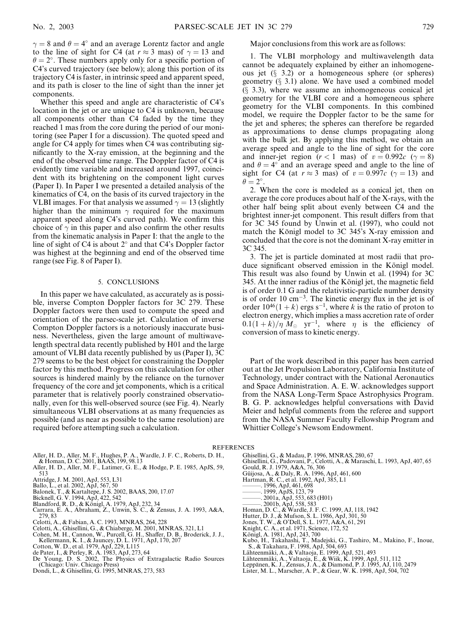$\gamma = 8$  and  $\theta = 4^{\circ}$  and an average Lorentz factor and angle to the line of sight for C4 (at  $r \approx 3$  mas) of  $\gamma = 13$  and  $\theta = 2^{\circ}$ . These numbers apply only for a specific portion of C4's curved trajectory (see below); along this portion of its trajectory C4 is faster, in intrinsic speed and apparent speed, and its path is closer to the line of sight than the inner jet components.

Whether this speed and angle are characteristic of C4's location in the jet or are unique to C4 is unknown, because all components other than C4 faded by the time they reached 1 mas from the core during the period of our monitoring (see Paper I for a discussion). The quoted speed and angle for C4 apply for times when C4 was contributing significantly to the X-ray emission, at the beginning and the end of the observed time range. The Doppler factor of C4 is evidently time variable and increased around 1997, coincident with its brightening on the component light curves (Paper I). In Paper I we presented a detailed analysis of the kinematics of C4, on the basis of its curved trajectory in the VLBI images. For that analysis we assumed  $\gamma = 13$  (slightly higher than the minimum  $\gamma$  required for the maximum apparent speed along C4's curved path). We confirm this choice of  $\gamma$  in this paper and also confirm the other results from the kinematic analysis in Paper I: that the angle to the line of sight of C4 is about  $2^{\circ}$  and that C4's Doppler factor was highest at the beginning and end of the observed time range (see Fig. 8 of Paper I).

#### 5. CONCLUSIONS

In this paper we have calculated, as accurately as is possible, inverse Compton Doppler factors for 3C 279. These Doppler factors were then used to compute the speed and orientation of the parsec-scale jet. Calculation of inverse Compton Doppler factors is a notoriously inaccurate business. Nevertheless, given the large amount of multiwavelength spectral data recently published by H01 and the large amount of VLBI data recently published by us (Paper I), 3C 279 seems to be the best object for constraining the Doppler factor by this method. Progress on this calculation for other sources is hindered mainly by the reliance on the turnover frequency of the core and jet components, which is a critical parameter that is relatively poorly constrained observationally, even for this well-observed source (see Fig. 4). Nearly simultaneous VLBI observations at as many frequencies as possible (and as near as possible to the same resolution) are required before attempting such a calculation.

Major conclusions from this work are as follows:

1. The VLBI morphology and multiwavelength data cannot be adequately explained by either an inhomogeneous jet  $(\S$  3.2) or a homogeneous sphere (or spheres) geometry  $(\S$  3.1) alone. We have used a combined model  $(\S$  3.3), where we assume an inhomogeneous conical jet geometry for the VLBI core and a homogeneous sphere geometry for the VLBI components. In this combined model, we require the Doppler factor to be the same for the jet and spheres; the spheres can therefore be regarded as approximations to dense clumps propagating along with the bulk jet. By applying this method, we obtain an average speed and angle to the line of sight for the core and inner-jet region  $(r < 1$  mas) of  $v = 0.992c$   $(\gamma = 8)$ and  $\theta = 4^{\circ}$  and an average speed and angle to the line of sight for C4 (at  $r \approx 3$  mas) of  $v = 0.997c$  ( $\gamma = 13$ ) and  $\ddot{\theta} = 2^{\circ}.$ 

2. When the core is modeled as a conical jet, then on average the core produces about half of the X-rays, with the other half being split about evenly between C4 and the brightest inner-jet component. This result differs from that for 3C 345 found by Unwin et al. (1997), who could not match the Königl model to  $3C$   $345$ 's X-ray emission and concluded that the core is not the dominant X-ray emitter in 3C 345.

3. The jet is particle dominated at most radii that produce significant observed emission in the Königl model. This result was also found by Unwin et al. (1994) for 3C 345. At the inner radius of the Königl jet, the magnetic field is of order 0.1 G and the relativistic-particle number density is of order  $10 \text{ cm}^{-3}$ . The kinetic energy flux in the jet is of order  $10^{46}(1+k)$  ergs s<sup>-1</sup>, where k is the ratio of proton to electron energy, which implies a mass accretion rate of order  $0.1(1+k)/\eta M_{\odot}$  yr<sup>-1</sup>, where  $\eta$  is the efficiency of conversion of mass to kinetic energy.

Part of the work described in this paper has been carried out at the Jet Propulsion Laboratory, California Institute of Technology, under contract with the National Aeronautics and Space Administration. A. E. W. acknowledges support from the NASA Long-Term Space Astrophysics Program. B. G. P. acknowledges helpful conversations with David Meier and helpful comments from the referee and support from the NASA Summer Faculty Fellowship Program and Whittier College's Newsom Endowment.

**REFERENCES** 

- Aller, H. D., Aller, M. F., Hughes, P. A., Wardle, J. F. C., Roberts, D. H., & Homan, D. C. 2001, BAAS, 199, 98.13 Aller, H. D., Aller, M. F., Latimer, G. E., & Hodge, P. E. 1985, ApJS, 59,
- 513
- Attridge, J. M. 2001, ApJ, 553, L31 Ballo, L., et al. 2002, ApJ, 567, 50
- Balonek, T., & Kartaltepe, J. S. 2002, BAAS, 200, 17.07
- 
- Bicknell, G. V. 1994, ApJ, 422, 542<br>Blandford, R. D., & Königl, A. 1979, ApJ, 232, 34
- Carrara, E. A., Abraham, Z., Unwin, S. C., & Zensus, J. A. 1993, A&A,
- 279, 83
- Celotti, A., & Fabian, A. C. 1993, MNRAS, 264, 228
- 
- 
- 
- 
- 
- Celotti, A., Ghisellini, G., & Chiaberge, M. 2001, MNRAS, 321, L1<br>Cohen, M. H., Cannon, W., Purcell, G. H., Shaffer, D. B., Broderick, J. J.,<br>Kellermann, K. I., & Jauncey, D. L. 1971, ApJ, 170, 207<br>Cotton, W. D., et al. 19
- 
- Ghisellini, G., & Madau, P. 1996, MNRAS, 280, 67
- Ghisellini, G., Padovani, P., Celotti, A., & Maraschi, L. 1993, ApJ, 407, 65
	- Gould, R. J. 1979, A&A, 76, 306
- Güijosa, A., & Daly, R. A. 1996, ApJ, 461, 600
- Hartman, R. C., et al. 1992, ApJ, 385, L1
- ———. 1996, ApJ, 461, 698
- ———. 1999, ApJS, 123, 79
- 
- ———. 2001a, ApJ, 553, 683 (H01) ———. 2001b, ApJ, 558, 583
- Homan, D. C., & Wardle, J. F. C. 1999, AJ, 118, 1942
- Hutter, D. J., & Mufson, S. L. 1986, ApJ, 301, 50 Jones, T. W., & O'Dell, S. L. 1977, A&A, 61, 291
- 
- Knight, C. A., et al. 1971, Science, 172, 52
- Königl, A. 1981, ApJ, 243, 700<br>Kubo, H., Takahashi, T., Madejski, G., Tashiro, M., Makino, F., Inoue,<br>S., & Takahara, F. 1998, ApJ, 504, 693<br>Lähteenmäki, A., & Valtaoja, E. 1999, ApJ, 521, 493<br>Lähteenmäki, A., & Valtaoja,
- 
- 
- 
-